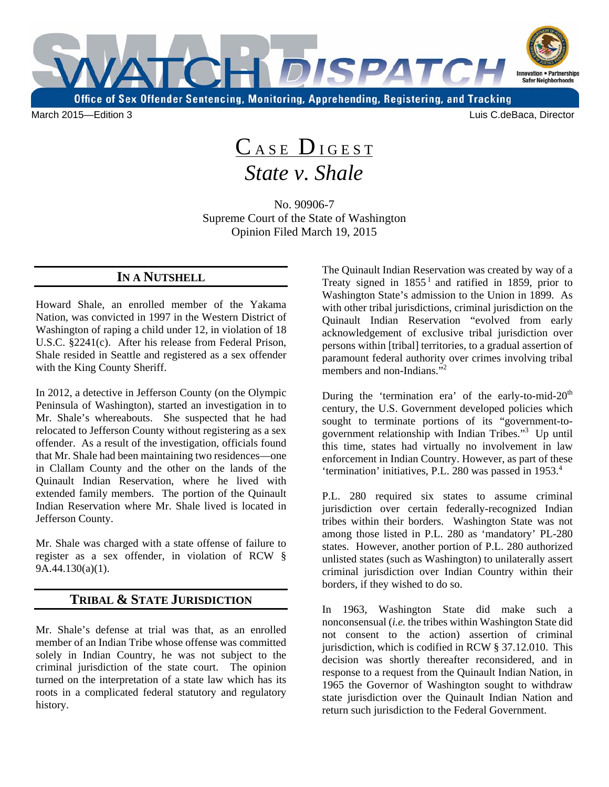

March 2015—Edition 3 Luis C.deBaca, Director

## CASE DIGEST *State v. Shale*

No. 90906-7 Supreme Court of the State of Washington Opinion Filed March 19, 2015

## **IN A NUTSHELL**

Howard Shale, an enrolled member of the Yakama Nation, was convicted in 1997 in the Western District of Washington of raping a child under 12, in violation of 18 U.S.C. §2241(c). After his release from Federal Prison, Shale resided in Seattle and registered as a sex offender with the King County Sheriff.

In 2012, a detective in Jefferson County (on the Olympic Peninsula of Washington), started an investigation in to Mr. Shale's whereabouts. She suspected that he had relocated to Jefferson County without registering as a sex offender. As a result of the investigation, officials found that Mr. Shale had been maintaining two residences—one in Clallam County and the other on the lands of the Quinault Indian Reservation, where he lived with extended family members. The portion of the Quinault Indian Reservation where Mr. Shale lived is located in Jefferson County.

Mr. Shale was charged with a state offense of failure to register as a sex offender, in violation of RCW § 9A.44.130(a)(1).

## **TRIBAL & STATE JURISDICTION**

Mr. Shale's defense at trial was that, as an enrolled member of an Indian Tribe whose offense was committed solely in Indian Country, he was not subject to the criminal jurisdiction of the state court. The opinion turned on the interpretation of a state law which has its roots in a complicated federal statutory and regulatory history.

members and non-Indians."<sup>2</sup> The Quinault Indian Reservation was created by way of a Treaty signed in  $1855<sup>1</sup>$  and ratified in 1859, prior to Washington State's admission to the Union in 1899. As with other tribal jurisdictions, criminal jurisdiction on the Quinault Indian Reservation "evolved from early acknowledgement of exclusive tribal jurisdiction over persons within [tribal] territories, to a gradual assertion of paramount federal authority over crimes involving tribal

government relationship with Indian Tribes."<sup>3</sup> Up until During the 'termination era' of the early-to-mid- $20<sup>th</sup>$ century, the U.S. Government developed policies which sought to terminate portions of its "government-tothis time, states had virtually no involvement in law enforcement in Indian Country. However, as part of these 'termination' initiatives, P.L. 280 was passed in 1953.4

P.L. 280 required six states to assume criminal jurisdiction over certain federally-recognized Indian tribes within their borders. Washington State was not among those listed in P.L. 280 as 'mandatory' PL-280 states. However, another portion of P.L. 280 authorized unlisted states (such as Washington) to unilaterally assert criminal jurisdiction over Indian Country within their borders, if they wished to do so.

In 1963, Washington State did make such a nonconsensual (*i.e.* the tribes within Washington State did not consent to the action) assertion of criminal jurisdiction, which is codified in RCW § 37.12.010. This decision was shortly thereafter reconsidered, and in response to a request from the Quinault Indian Nation, in 1965 the Governor of Washington sought to withdraw state jurisdiction over the Quinault Indian Nation and return such jurisdiction to the Federal Government.